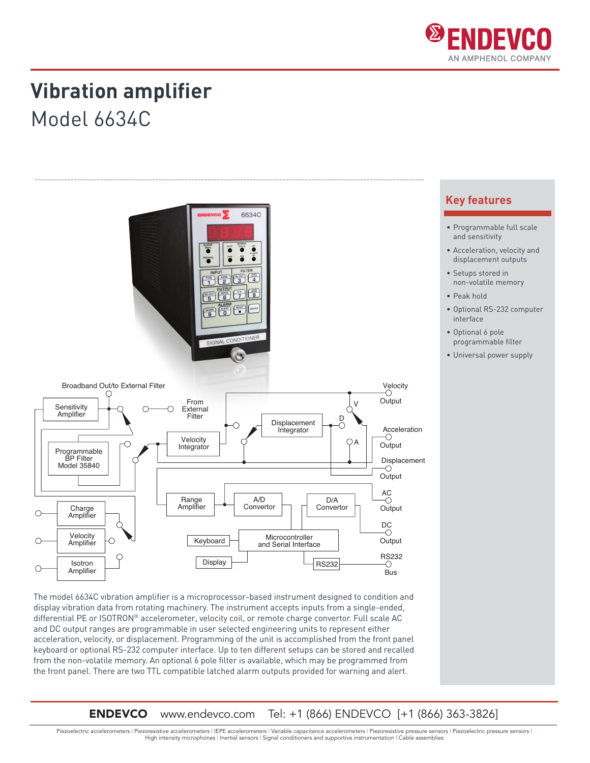

### **Vibration amplifier**

Model 6634C



The model 6634C vibration amplifier is a microprocessor-based instrument designed to condition and display vibration data from rotating machinery. The instrument accepts inputs from a single-ended, differential PE or ISOTRON® accelerometer, velocity coil, or remote charge convertor. Full scale AC and DC output ranges are programmable in user selected engineering units to represent either acceleration, velocity, or displacement. Programming of the unit is accomplished from the front panel keyboard or optional RS-232 computer interface. Up to ten different setups can be stored and recalled from the non-volatile memory. An optional 6 pole filter is available, which may be programmed from the front panel. There are two TTL compatible latched alarm outputs provided for warning and alert.

**ENDEVCO** www.endevco.com Tel: +1 (866) ENDEVCO [+1 (866) 363-3826]

Piezoelectric accelerometers | Piezoresistive accelerometers | IEPE accelerometers | Variable capacitance accelerometers | Piezoresistive pressure sensors | Piezoelectric pressure sensors | High intensity microphones | Inertial sensors | Signal conditioners and supportive instrumentation | Cable assemblies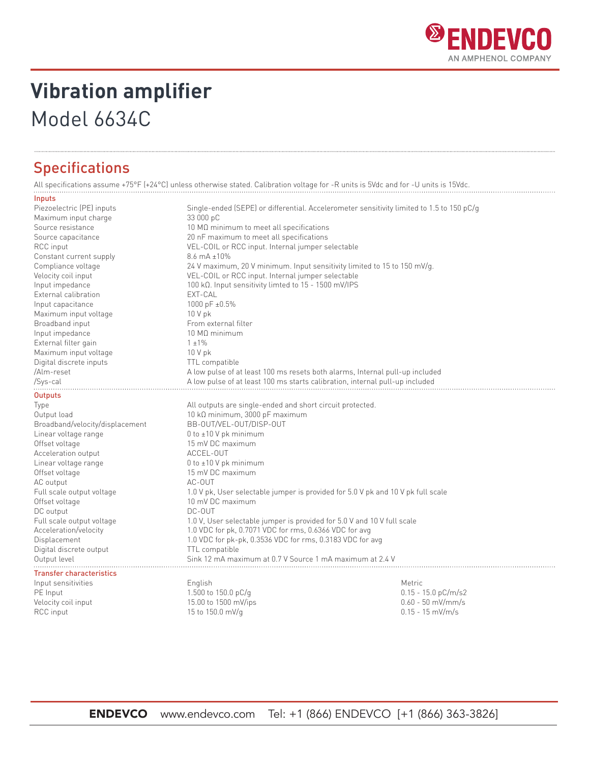

## **Vibration amplifier**

### Model 6634C

### **Specifications**

All specifications assume +75°F (+24°C) unless otherwise stated. Calibration voltage for -R units is 5Vdc and for -U units is 15Vdc.

#### Inputs

| Piezoelectric (PE) inputs       | Single-ended (SEPE) or differential. Accelerometer sensitivity limited to 1.5 to 150 $pC/q$                                                                                                                      |                       |  |
|---------------------------------|------------------------------------------------------------------------------------------------------------------------------------------------------------------------------------------------------------------|-----------------------|--|
| Maximum input charge            | 33 000 pC                                                                                                                                                                                                        |                       |  |
| Source resistance               | 10 MΩ minimum to meet all specifications                                                                                                                                                                         |                       |  |
| Source capacitance              | 20 nF maximum to meet all specifications                                                                                                                                                                         |                       |  |
| RCC input                       | VEL-COIL or RCC input. Internal jumper selectable<br>$8.6 \text{ mA } \pm 10\%$<br>24 V maximum, 20 V minimum. Input sensitivity limited to 15 to 150 mV/g.<br>VEL-COIL or RCC input. Internal jumper selectable |                       |  |
| Constant current supply         |                                                                                                                                                                                                                  |                       |  |
| Compliance voltage              |                                                                                                                                                                                                                  |                       |  |
| Velocity coil input             |                                                                                                                                                                                                                  |                       |  |
| Input impedance                 | 100 kΩ. Input sensitivity limted to $15 - 1500$ mV/IPS                                                                                                                                                           |                       |  |
| External calibration            | EXT-CAL                                                                                                                                                                                                          |                       |  |
| Input capacitance               | 1000 pF ±0.5%                                                                                                                                                                                                    |                       |  |
| Maximum input voltage           | 10 V pk                                                                                                                                                                                                          |                       |  |
| Broadband input                 | From external filter                                                                                                                                                                                             |                       |  |
| Input impedance                 | 10 MΩ minimum                                                                                                                                                                                                    |                       |  |
| External filter gain            | $1 \pm 1\%$                                                                                                                                                                                                      |                       |  |
| Maximum input voltage           | $10V$ pk                                                                                                                                                                                                         |                       |  |
| Digital discrete inputs         | TTL compatible                                                                                                                                                                                                   |                       |  |
| /Alm-reset                      | A low pulse of at least 100 ms resets both alarms, Internal pull-up included                                                                                                                                     |                       |  |
| /Sys-cal                        | A low pulse of at least 100 ms starts calibration, internal pull-up included                                                                                                                                     |                       |  |
| Outputs                         |                                                                                                                                                                                                                  |                       |  |
| Type                            | All outputs are single-ended and short circuit protected.                                                                                                                                                        |                       |  |
| Output load                     | 10 kΩ minimum, 3000 pF maximum                                                                                                                                                                                   |                       |  |
| Broadband/velocity/displacement | BB-OUT/VEL-OUT/DISP-OUT                                                                                                                                                                                          |                       |  |
| Linear voltage range            | 0 to $\pm$ 10 V pk minimum                                                                                                                                                                                       |                       |  |
| Offset voltage                  | 15 mV DC maximum                                                                                                                                                                                                 |                       |  |
| Acceleration output             | ACCEL-OUT                                                                                                                                                                                                        |                       |  |
| Linear voltage range            | 0 to $\pm$ 10 V pk minimum                                                                                                                                                                                       |                       |  |
| Offset voltage                  | 15 mV DC maximum                                                                                                                                                                                                 |                       |  |
| AC output                       | AC-OUT                                                                                                                                                                                                           |                       |  |
| Full scale output voltage       | 1.0 V pk, User selectable jumper is provided for 5.0 V pk and 10 V pk full scale                                                                                                                                 |                       |  |
| Offset voltage                  | 10 mV DC maximum                                                                                                                                                                                                 |                       |  |
| DC output                       | DC-OUT                                                                                                                                                                                                           |                       |  |
| Full scale output voltage       | 1.0 V, User selectable jumper is provided for 5.0 V and 10 V full scale                                                                                                                                          |                       |  |
| Acceleration/velocity           | 1.0 VDC for pk, 0.7071 VDC for rms, 0.6366 VDC for avg                                                                                                                                                           |                       |  |
| Displacement                    | 1.0 VDC for pk-pk, 0.3536 VDC for rms, 0.3183 VDC for avg                                                                                                                                                        |                       |  |
| Digital discrete output         | TTL compatible                                                                                                                                                                                                   |                       |  |
| Output level                    | Sink 12 mA maximum at 0.7 V Source 1 mA maximum at 2.4 V                                                                                                                                                         |                       |  |
| <b>Transfer characteristics</b> |                                                                                                                                                                                                                  |                       |  |
| Input sensitivities             | English                                                                                                                                                                                                          | Metric                |  |
| PE Input                        | 1.500 to 150.0 pC/g                                                                                                                                                                                              | $0.15 - 15.0 pC/m/s2$ |  |
| Velocity coil input             | 15.00 to 1500 mV/ips                                                                                                                                                                                             | $0.60 - 50$ mV/mm/s   |  |
| RCC input                       | 15 to 150.0 mV/g                                                                                                                                                                                                 | $0.15 - 15$ mV/m/s    |  |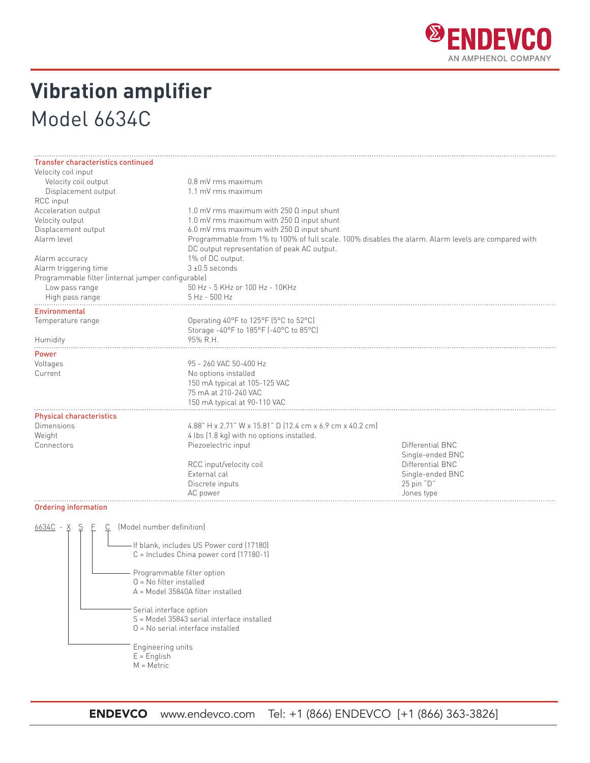

# **Vibration amplifier** Model 6634C

| <b>Transfer characteristics continued</b>          |                                                                                                     |                                                  |  |  |  |
|----------------------------------------------------|-----------------------------------------------------------------------------------------------------|--------------------------------------------------|--|--|--|
| Velocity coil input                                |                                                                                                     |                                                  |  |  |  |
| Velocity coil output                               |                                                                                                     | 0.8 mV rms maximum                               |  |  |  |
| Displacement output                                |                                                                                                     | 1.1 mV rms maximum                               |  |  |  |
| RCC input                                          |                                                                                                     |                                                  |  |  |  |
| Acceleration output                                |                                                                                                     | 1.0 mV rms maximum with $250 \Omega$ input shunt |  |  |  |
| Velocity output                                    |                                                                                                     | 1.0 mV rms maximum with $250 \Omega$ input shunt |  |  |  |
| Displacement output                                |                                                                                                     | 6.0 mV rms maximum with 250 $\Omega$ input shunt |  |  |  |
| Alarm level                                        | Programmable from 1% to 100% of full scale. 100% disables the alarm. Alarm levels are compared with |                                                  |  |  |  |
|                                                    | DC output representation of peak AC output.                                                         |                                                  |  |  |  |
| Alarm accuracy                                     | 1% of DC output.                                                                                    |                                                  |  |  |  |
| Alarm triggering time                              |                                                                                                     | $3 + 0.5$ seconds                                |  |  |  |
| Programmable filter (internal jumper configurable) |                                                                                                     |                                                  |  |  |  |
| Low pass range                                     | 50 Hz - 5 KHz or 100 Hz - 10KHz                                                                     |                                                  |  |  |  |
| High pass range                                    | 5 Hz - 500 Hz                                                                                       |                                                  |  |  |  |
| <b>Environmental</b>                               |                                                                                                     |                                                  |  |  |  |
| Temperature range                                  | Operating 40°F to 125°F (5°C to 52°C)                                                               |                                                  |  |  |  |
|                                                    | Storage -40°F to 185°F (-40°C to 85°C)                                                              |                                                  |  |  |  |
| Humidity                                           | 95% R.H.                                                                                            |                                                  |  |  |  |
| Power                                              |                                                                                                     |                                                  |  |  |  |
| Voltages                                           | 95 - 260 VAC 50-400 Hz                                                                              |                                                  |  |  |  |
| Current                                            | No options installed                                                                                |                                                  |  |  |  |
|                                                    | 150 mA typical at 105-125 VAC                                                                       |                                                  |  |  |  |
|                                                    | 75 mA at 210-240 VAC                                                                                |                                                  |  |  |  |
|                                                    | 150 mA typical at 90-110 VAC                                                                        |                                                  |  |  |  |
| <b>Physical characteristics</b>                    |                                                                                                     |                                                  |  |  |  |
| <b>Dimensions</b>                                  | 4.88" H x 2.71" W x 15.81" D (12.4 cm x 6.9 cm x 40.2 cm)                                           |                                                  |  |  |  |
| Weight                                             | 4 lbs (1.8 kg) with no options installed.                                                           |                                                  |  |  |  |
| Connectors                                         | Piezoelectric input                                                                                 | Differential BNC                                 |  |  |  |
|                                                    |                                                                                                     | Single-ended BNC                                 |  |  |  |
|                                                    | RCC input/velocity coil                                                                             | Differential BNC                                 |  |  |  |
|                                                    | <b>External cal</b>                                                                                 | Single-ended BNC                                 |  |  |  |
|                                                    | Discrete inputs                                                                                     | 25 pin "D"                                       |  |  |  |
|                                                    | AC power                                                                                            | Jones type                                       |  |  |  |
| Ordering information                               |                                                                                                     |                                                  |  |  |  |

| Model number definition<br>- If blank, includes US Power cord (17180)<br>C = Includes China power cord (17180-1)<br>Programmable filter option<br>$0 = No$ filter installed<br>A = Model 35840A filter installed<br>Serial interface option<br>S = Model 35843 serial interface installed<br>$0 = No$ serial interface installed |
|----------------------------------------------------------------------------------------------------------------------------------------------------------------------------------------------------------------------------------------------------------------------------------------------------------------------------------|
| Engineering units<br>$E =$ English<br>$M = Metric$                                                                                                                                                                                                                                                                               |
|                                                                                                                                                                                                                                                                                                                                  |

ENDEVCO www.endevco.com Tel: +1 (866) ENDEVCO [+1 (866) 363-3826]